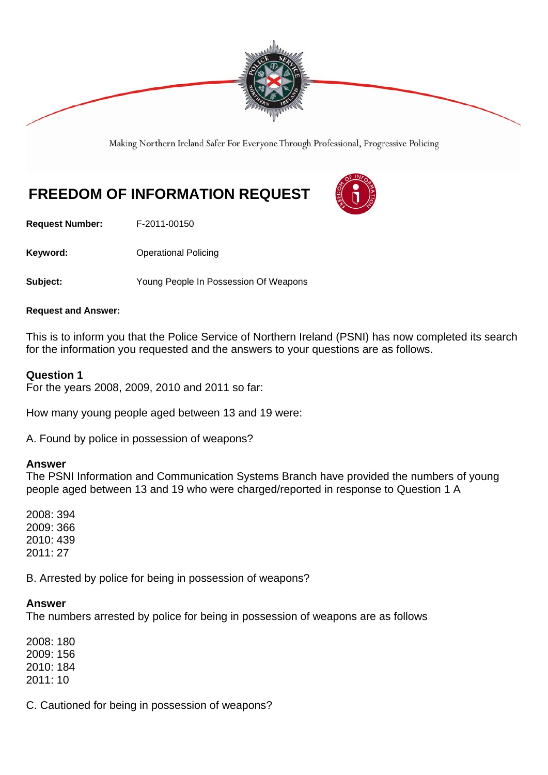

Making Northern Ireland Safer For Everyone Through Professional, Progressive Policing

# **FREEDOM OF INFORMATION REQUEST**

**Request Number:** F-2011-00150

**Keyword: Conservery Operational Policing** 

**Subject:** Young People In Possession Of Weapons

#### **Request and Answer:**

This is to inform you that the Police Service of Northern Ireland (PSNI) has now completed its search for the information you requested and the answers to your questions are as follows.

#### **Question 1**

For the years 2008, 2009, 2010 and 2011 so far:

How many young people aged between 13 and 19 were:

A. Found by police in possession of weapons?

#### **Answer**

The PSNI Information and Communication Systems Branch have provided the numbers of young people aged between 13 and 19 who were charged/reported in response to Question 1 A

2008: 394 2009: 366 2010: 439 2011: 27

B. Arrested by police for being in possession of weapons?

#### **Answer**

The numbers arrested by police for being in possession of weapons are as follows

2008: 180 2009: 156 2010: 184 2011: 10

C. Cautioned for being in possession of weapons?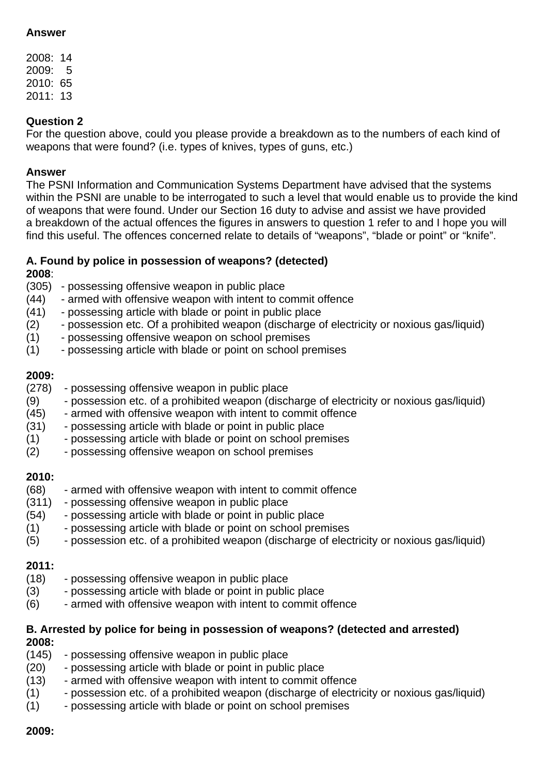#### **Answer**

2008: 14 2009: 5 2010: 65 2011: 13

## **Question 2**

For the question above, could you please provide a breakdown as to the numbers of each kind of weapons that were found? (i.e. types of knives, types of guns, etc.)

## **Answer**

The PSNI Information and Communication Systems Department have advised that the systems within the PSNI are unable to be interrogated to such a level that would enable us to provide the kind of weapons that were found. Under our Section 16 duty to advise and assist we have provided a breakdown of the actual offences the figures in answers to question 1 refer to and I hope you will find this useful. The offences concerned relate to details of "weapons", "blade or point" or "knife".

## **A. Found by police in possession of weapons? (detected)**

**2008**:

- (305) possessing offensive weapon in public place
- (44) armed with offensive weapon with intent to commit offence
- (41) possessing article with blade or point in public place
- (2) possession etc. Of a prohibited weapon (discharge of electricity or noxious gas/liquid)
- (1) possessing offensive weapon on school premises
- (1) possessing article with blade or point on school premises

#### **2009:**

- (278) possessing offensive weapon in public place
- (9) possession etc. of a prohibited weapon (discharge of electricity or noxious gas/liquid)
- (45) armed with offensive weapon with intent to commit offence
- (31) possessing article with blade or point in public place
- (1) possessing article with blade or point on school premises
- (2) possessing offensive weapon on school premises

#### **2010:**

- (68) armed with offensive weapon with intent to commit offence
- (311) possessing offensive weapon in public place
- (54) possessing article with blade or point in public place
- (1) possessing article with blade or point on school premises
- (5) possession etc. of a prohibited weapon (discharge of electricity or noxious gas/liquid)

## **2011:**

- (18) possessing offensive weapon in public place
- (3) possessing article with blade or point in public place
- (6) armed with offensive weapon with intent to commit offence

#### **B. Arrested by police for being in possession of weapons? (detected and arrested) 2008:**

- 
- (145) possessing offensive weapon in public place
- (20) possessing article with blade or point in public place
- (13) armed with offensive weapon with intent to commit offence
- (1) possession etc. of a prohibited weapon (discharge of electricity or noxious gas/liquid)
- (1) possessing article with blade or point on school premises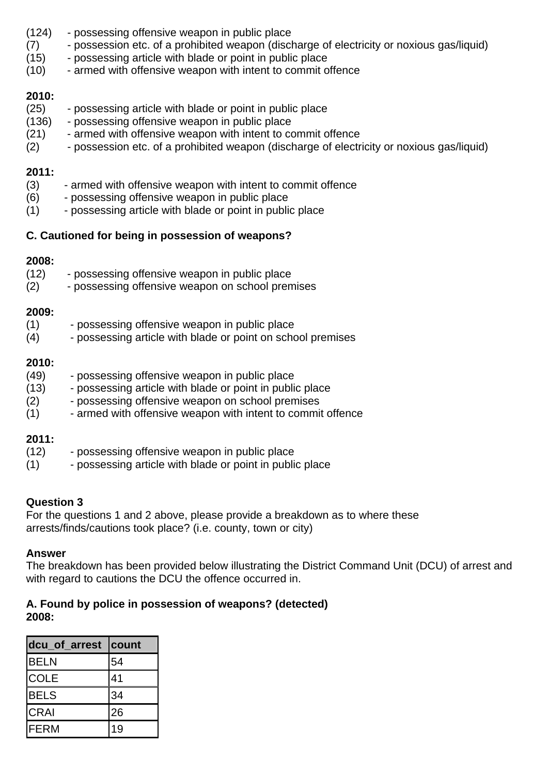- (124) possessing offensive weapon in public place
- (7) possession etc. of a prohibited weapon (discharge of electricity or noxious gas/liquid)
- (15) possessing article with blade or point in public place
- (10) armed with offensive weapon with intent to commit offence

- (25) possessing article with blade or point in public place
- (136) possessing offensive weapon in public place
- (21) armed with offensive weapon with intent to commit offence
- (2) possession etc. of a prohibited weapon (discharge of electricity or noxious gas/liquid)

## **2011:**

- (3) armed with offensive weapon with intent to commit offence
- (6) possessing offensive weapon in public place
- (1) possessing article with blade or point in public place

## **C. Cautioned for being in possession of weapons?**

## **2008:**

- (12) possessing offensive weapon in public place
- (2) possessing offensive weapon on school premises

#### **2009:**

- (1) possessing offensive weapon in public place
- (4) possessing article with blade or point on school premises

#### **2010:**

- (49) possessing offensive weapon in public place
- (13) possessing article with blade or point in public place
- (2) possessing offensive weapon on school premises
- (1) armed with offensive weapon with intent to commit offence

## **2011:**

- (12) possessing offensive weapon in public place
- (1) possessing article with blade or point in public place

## **Question 3**

For the questions 1 and 2 above, please provide a breakdown as to where these arrests/finds/cautions took place? (i.e. county, town or city)

## **Answer**

The breakdown has been provided below illustrating the District Command Unit (DCU) of arrest and with regard to cautions the DCU the offence occurred in.

#### **A. Found by police in possession of weapons? (detected) 2008:**

| dcu of arrest | count |
|---------------|-------|
| <b>BELN</b>   | 54    |
| <b>COLE</b>   | 41    |
| <b>BELS</b>   | 34    |
| <b>CRAI</b>   | 26    |
| <b>FERM</b>   | 19    |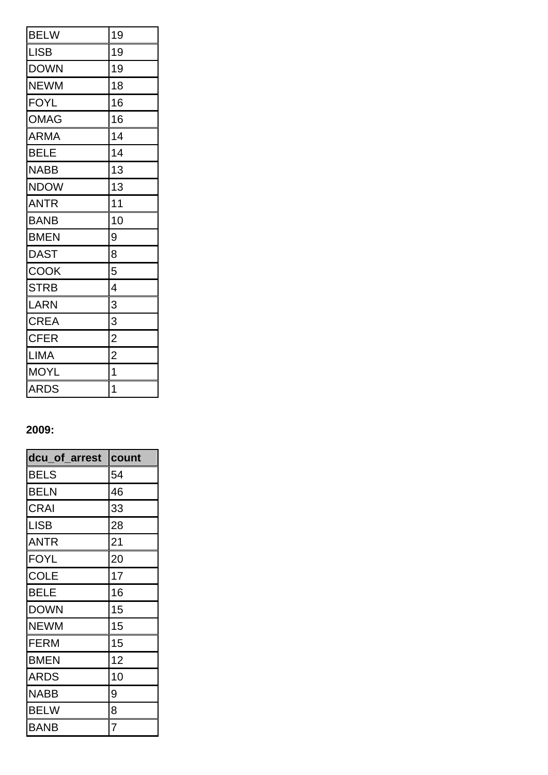| <b>BELW</b> | 19             |
|-------------|----------------|
| LISB        | 19             |
| <b>DOWN</b> | 19             |
| <b>NEWM</b> | 18             |
| <b>FOYL</b> | 16             |
| <b>OMAG</b> | 16             |
| ARMA        | 14             |
| <b>BELE</b> | 14             |
| <b>NABB</b> | 13             |
| <b>NDOW</b> | 13             |
| <b>ANTR</b> | 11             |
| <b>BANB</b> | 10             |
| <b>BMEN</b> | 9              |
| <b>DAST</b> | 8              |
| <b>COOK</b> | 5              |
| <b>STRB</b> | 4              |
| LARN        | 3              |
| <b>CREA</b> | 3              |
| <b>CFER</b> | $\overline{2}$ |
| <b>LIMA</b> | $\overline{2}$ |
| <b>MOYL</b> | $\mathbf 1$    |
| <b>ARDS</b> | 1              |

| dcu_of_arrest | count |
|---------------|-------|
| <b>BELS</b>   | 54    |
| <b>BELN</b>   | 46    |
| <b>CRAI</b>   | 33    |
| <b>LISB</b>   | 28    |
| <b>ANTR</b>   | 21    |
| <b>FOYL</b>   | 20    |
| <b>COLE</b>   | 17    |
| <b>BELE</b>   | 16    |
| <b>DOWN</b>   | 15    |
| <b>NEWM</b>   | 15    |
| <b>FERM</b>   | 15    |
| <b>BMEN</b>   | 12    |
| <b>ARDS</b>   | 10    |
| <b>NABB</b>   | 9     |
| BELW          | 8     |
| <b>BANB</b>   | 7     |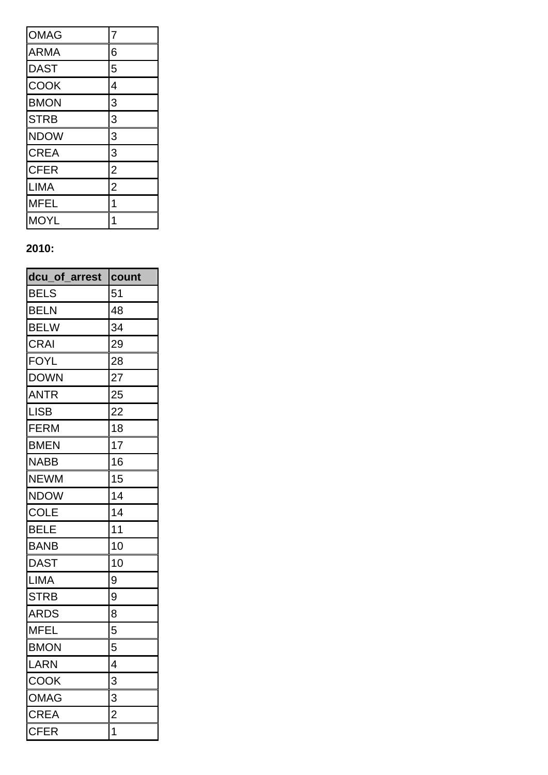| <b>OMAG</b> | $\overline{7}$ |
|-------------|----------------|
| <b>ARMA</b> | 6              |
| <b>DAST</b> | 5              |
| <b>COOK</b> | 4              |
| <b>BMON</b> | 3              |
| <b>STRB</b> | 3              |
| <b>NDOW</b> | 3              |
| <b>CREA</b> | 3              |
| <b>CFER</b> | $\overline{2}$ |
| <b>LIMA</b> | $\overline{2}$ |
| <b>MFEL</b> |                |
| <b>MOYL</b> |                |

| dcu_of_arrest | count          |
|---------------|----------------|
| <b>BELS</b>   | 51             |
| <b>BELN</b>   | 48             |
| <b>BELW</b>   | 34             |
| <b>CRAI</b>   | 29             |
| <b>FOYL</b>   | 28             |
| <b>DOWN</b>   | 27             |
| <b>ANTR</b>   | 25             |
| <b>LISB</b>   | 22             |
| <b>FERM</b>   | 18             |
| <b>BMEN</b>   | 17             |
| <b>NABB</b>   | 16             |
| <b>NEWM</b>   | 15             |
| <b>NDOW</b>   | 14             |
| <b>COLE</b>   | 14             |
| <b>BELE</b>   | 11             |
| <b>BANB</b>   | 10             |
| <b>DAST</b>   | 10             |
| <b>LIMA</b>   | 9              |
| <b>STRB</b>   | 9              |
| <b>ARDS</b>   | 8              |
| <b>MFEL</b>   | 5              |
| <b>BMON</b>   | 5              |
| <b>LARN</b>   | 4              |
| <b>COOK</b>   | 3              |
| <b>OMAG</b>   | 3              |
| <b>CREA</b>   | $\overline{c}$ |
| CFER          | $\overline{1}$ |
|               |                |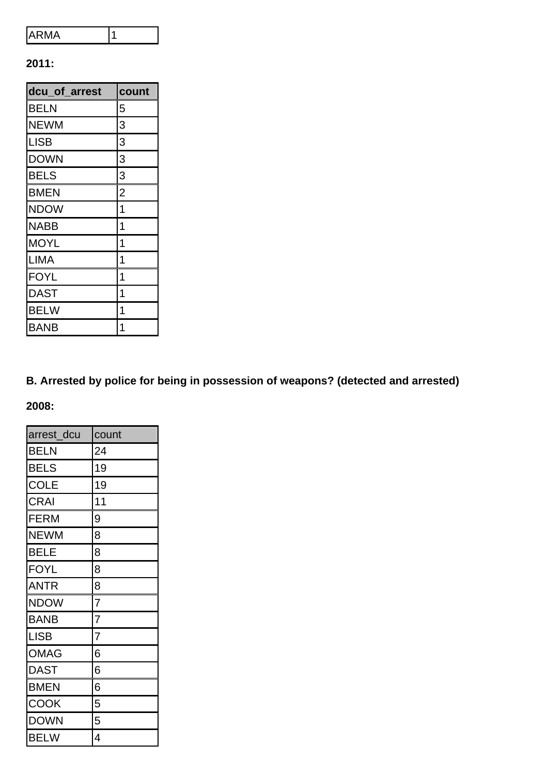| dcu of arrest | count          |
|---------------|----------------|
| <b>BELN</b>   | 5              |
| <b>NEWM</b>   | 3              |
| <b>LISB</b>   | 3              |
| <b>DOWN</b>   | 3              |
| <b>BELS</b>   | 3              |
| BMEN          | $\overline{2}$ |
| <b>NDOW</b>   | 1              |
| NABB          | 1              |
| <b>MOYL</b>   | 1              |
| LIMA          | 1              |
| <b>FOYL</b>   | 1              |
| <b>DAST</b>   | 1              |
| BELW          | 1              |
| <b>BANB</b>   |                |

## **B. Arrested by police for being in possession of weapons? (detected and arrested)**

| arrest dcu  | count |
|-------------|-------|
| BELN        | 24    |
| <b>BELS</b> | 19    |
| <b>COLE</b> | 19    |
| <b>CRAI</b> | 11    |
| <b>FERM</b> | 9     |
| NEWM        | 8     |
| <b>BELE</b> | 8     |
| <b>FOYL</b> | 8     |
| <b>ANTR</b> | 8     |
| <b>NDOW</b> | 7     |
| <b>BANB</b> | 7     |
| <b>LISB</b> | 7     |
| OMAG        | 6     |
| <b>DAST</b> | 6     |
| <b>BMEN</b> | 6     |
| COOK        | 5     |
| <b>DOWN</b> | 5     |
| <b>BELW</b> | 4     |
|             |       |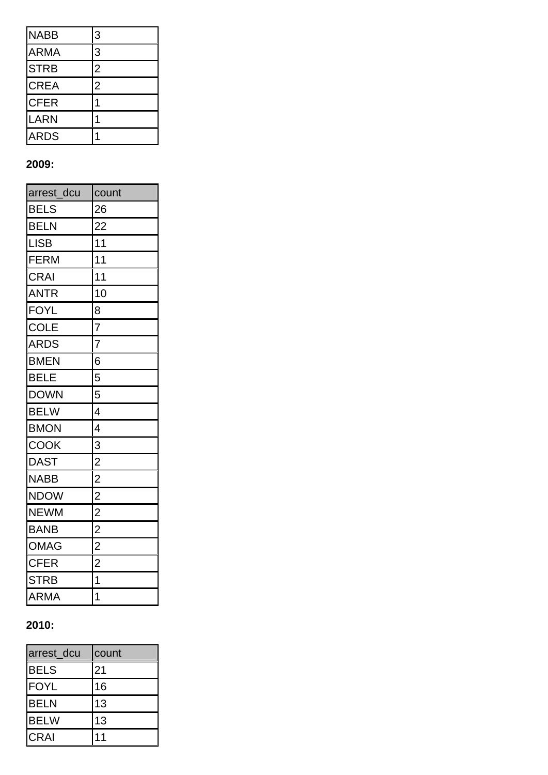| <b>NABB</b> | 3              |
|-------------|----------------|
| <b>ARMA</b> | 3              |
| <b>STRB</b> | $\overline{2}$ |
| <b>CREA</b> | $\overline{2}$ |
| <b>CFER</b> |                |
| LARN        |                |
| <b>ARDS</b> |                |

| arrest_dcu  | count          |
|-------------|----------------|
| <b>BELS</b> | 26             |
| <b>BELN</b> | 22             |
| <b>LISB</b> | 11             |
| FERM        | 11             |
| <b>CRAI</b> | 11             |
| <b>ANTR</b> | 10             |
| <b>FOYL</b> | 8              |
| <b>COLE</b> | $\overline{7}$ |
| <b>ARDS</b> | $\overline{7}$ |
| <b>BMEN</b> | 6              |
| <b>BELE</b> | 5              |
| <b>DOWN</b> | 5              |
| <b>BELW</b> | 4              |
| <b>BMON</b> | 4              |
| <b>COOK</b> | 3              |
| <b>DAST</b> | $\overline{2}$ |
| <b>NABB</b> | $\overline{2}$ |
| <b>NDOW</b> | $\overline{2}$ |
| <b>NEWM</b> | $\overline{c}$ |
| <b>BANB</b> | $\overline{2}$ |
| <b>OMAG</b> | $\overline{2}$ |
| <b>CFER</b> | $\overline{c}$ |
| <b>STRB</b> | $\mathbf 1$    |
| <b>ARMA</b> | 1              |

| arrest_dcu  | count |
|-------------|-------|
| <b>BELS</b> | 21    |
| <b>FOYL</b> | 16    |
| <b>BELN</b> | 13    |
| <b>BELW</b> | 13    |
| <b>CRAI</b> |       |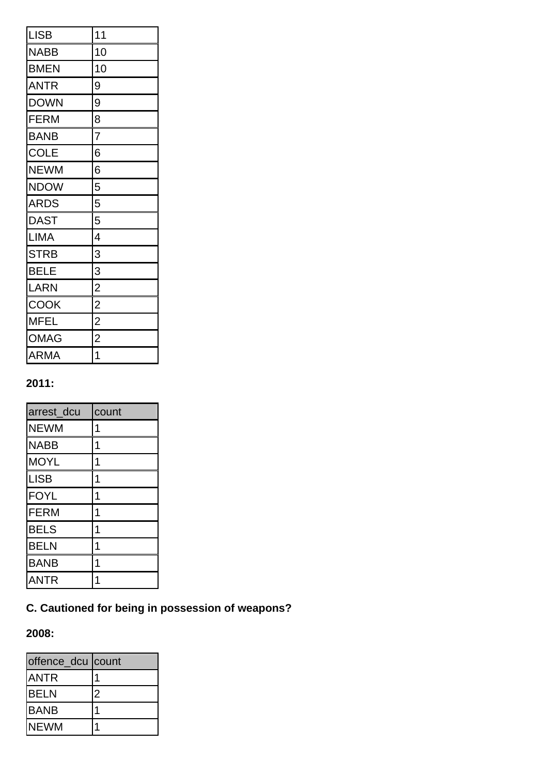| <b>LISB</b> | 11             |
|-------------|----------------|
| <b>NABB</b> | 10             |
| <b>BMEN</b> | 10             |
| <b>ANTR</b> | 9              |
| <b>DOWN</b> | 9              |
| <b>FERM</b> | 8              |
| BANB        | 7              |
| <b>COLE</b> | 6              |
| <b>NEWM</b> | 6              |
| <b>NDOW</b> | 5              |
| <b>ARDS</b> | 5              |
| <b>DAST</b> | 5              |
| <b>LIMA</b> | 4              |
| <b>STRB</b> | 3              |
| <b>BELE</b> | 3              |
| LARN        | $\overline{2}$ |
| <b>COOK</b> | $\overline{2}$ |
| <b>MFEL</b> | $\overline{c}$ |
| <b>OMAG</b> | $\overline{2}$ |
| ARMA        | 1              |

| arrest_dcu  | count |
|-------------|-------|
| <b>NEWM</b> |       |
| <b>NABB</b> |       |
| <b>MOYL</b> |       |
| <b>LISB</b> | 1     |
| <b>FOYL</b> |       |
| <b>FERM</b> | 1     |
| <b>BELS</b> |       |
| <b>BELN</b> |       |
| <b>BANB</b> | 1     |
| ANTR        |       |

## **C. Cautioned for being in possession of weapons?**

| offence_dcu count |   |
|-------------------|---|
| <b>ANTR</b>       |   |
| <b>BELN</b>       | 2 |
| <b>BANB</b>       |   |
| <b>INEWM</b>      |   |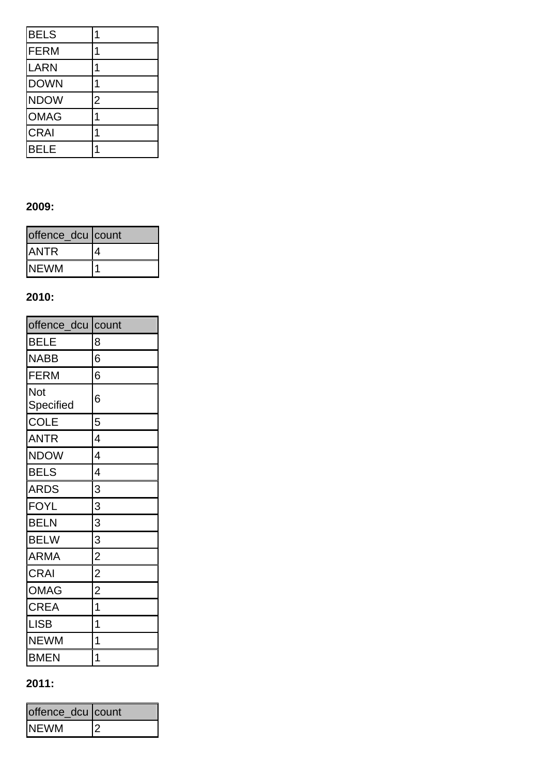| <b>BELS</b> |                |
|-------------|----------------|
| FERM        |                |
| LARN        |                |
| <b>DOWN</b> |                |
| <b>NDOW</b> | $\overline{2}$ |
| <b>OMAG</b> |                |
| <b>CRAI</b> |                |
| <b>BELE</b> |                |

| offence_dcu count |  |
|-------------------|--|
| <b>ANTR</b>       |  |
| <b>NEWM</b>       |  |

## **2010:**

| offence_dcu count       |                |
|-------------------------|----------------|
| <b>BELE</b>             | 8              |
| <b>NABB</b>             | 6              |
| <b>FERM</b>             | 6              |
| <b>Not</b><br>Specified | 6              |
| <b>COLE</b>             | 5              |
| <b>ANTR</b>             | 4              |
| <b>NDOW</b>             | 4              |
| <b>BELS</b>             | 4              |
| <b>ARDS</b>             | 3              |
| <b>FOYL</b>             | 3              |
| <b>BELN</b>             | 3              |
| <b>BELW</b>             | 3              |
| ARMA                    | $\overline{2}$ |
| <b>CRAI</b>             | $\overline{c}$ |
| <b>OMAG</b>             | $\overline{2}$ |
| CREA                    | 1              |
| <b>LISB</b>             | 1              |
| <b>NEWM</b>             | 1              |
| <b>BMEN</b>             | 1              |

| offence_dcu count |  |
|-------------------|--|
| <b>NEWM</b>       |  |